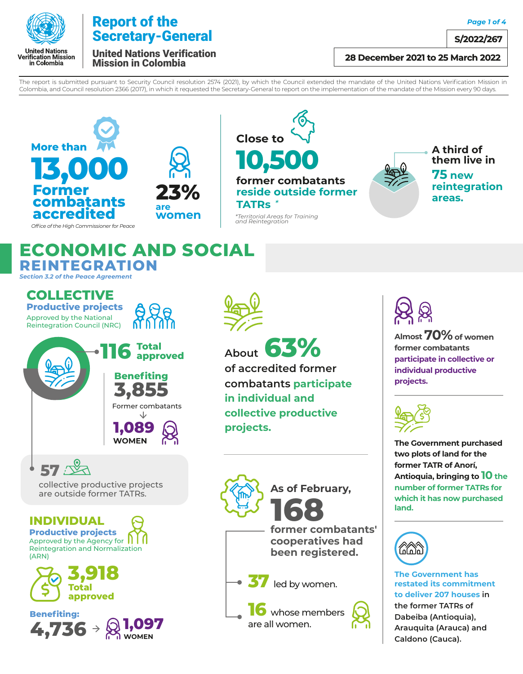

*Page 1 of 4*

**S/2022/267**

United Nations Verification Mission in Colombia

### **28 December 2021 to 25 March 2022**

The report is submitted pursuant to Security Council resolution 2574 (2021), by which the Council extended the mandate of the United Nations Verification Mission in Colombia, and Council resolution 2366 (2017), in which it requested the Secretary-General to report on the implementation of the mandate of the Mission every 90 days.

*and Reintegration* 





**10,500 former combatants Close to reside outside former TATRs** *\*Territorial Areas for Training* 



*Office of the High Commissioner for Peace*

**ECONOMIC AND SOCIAL REINTEGRATION**

*Section 3.2 of the Peace Agreement*

Approved by the National Reintegration Council (NRC) **COLLECTIVE Productive projects** 



collective productive projects are outside former TATRs.

**57**

**INDIVIDUAL Productive projects**

**3,918**

**4,736 1,097**

**WOMEN**

**Total approved**

Approved by the Agency for  $\prod$ Reintegration and Normalization

**Benefiting:**

(ARN)

**About 63% of accredited former combatants participate in individual and collective productive projects.**



**16** whose members are all women.

**Almost 70%of women former combatants participate in collective or individual productive projects.** 



**The Government purchased two plots of land for the former TATR of Anorí, Antioquia, bringing to 10 the number of former TATRs for which it has now purchased land.**



**The Government has restated its commitment to deliver 207 houses in** 

**the former TATRs of Dabeiba (Antioquia), Arauquita (Arauca) and Caldono (Cauca).**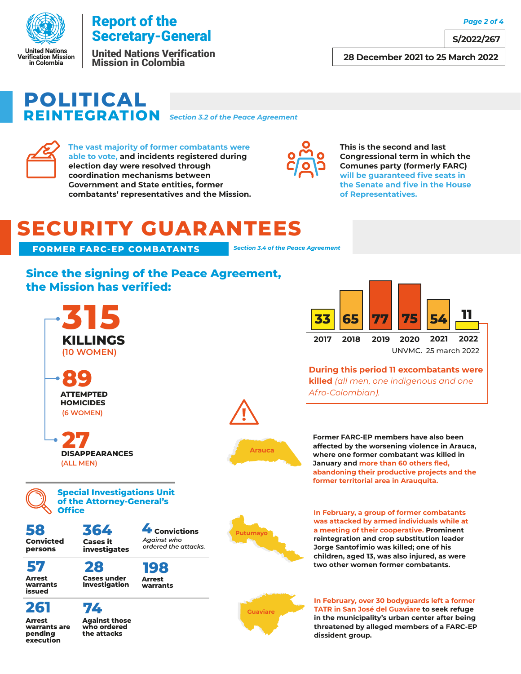

United Nations Verification Mission in Colombia

## **POLITICAL REINTEGRATION** *Section 3.2 of the Peace Agreement*



**Arrest warrants are pending execution**

**The vast majority of former combatants were able to vote, and incidents registered during election day were resolved through coordination mechanisms between Government and State entities, former combatants' representatives and the Mission.**



**This is the second and last Congressional term in which the Comunes party (formerly FARC) will be guaranteed five seats in the Senate and five in the House of Representatives.**

# **SECURITY GUARANTEES**

**FORMER FARC-EP COMBATANTS** *Section 3.4 of the Peace Agreement* 

## **Since the signing of the Peace Agreement, the Mission has verified:**



**Against those who ordered the attacks**



**During this period 11 excombatants were killed** *(all men, one indigenous and one Afro-Colombian).*

**Former FARC-EP members have also been affected by the worsening violence in Arauca, where one former combatant was killed in January and more than 60 others fled, abandoning their productive projects and the former territorial area in Arauquita.**

**In February, a group of former combatants was attacked by armed individuals while at a meeting of their cooperative. Prominent reintegration and crop substitution leader Jorge Santofimio was killed; one of his children, aged 13, was also injured, as were two other women former combatants.**

**Guaviare**

**Arauca**

**In February, over 30 bodyguards left a former TATR in San José del Guaviare to seek refuge in the municipality's urban center after being threatened by alleged members of a FARC-EP dissident group.**

*Page 2 of 4*

**S/2022/267**

**28 December 2021 to 25 March 2022**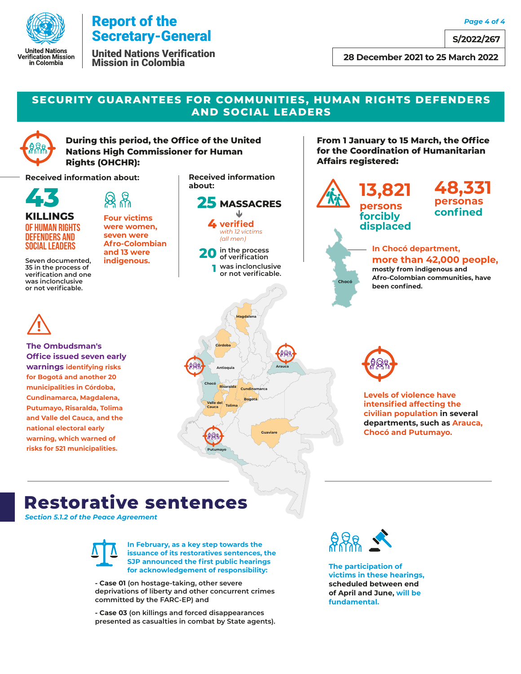

United Nations Verification Mission in Colombia

**S/2022/267**

**28 December 2021 to 25 March 2022** 

### **SECURITY GUARANTEES FOR COMMUNITIES, HUMAN RIGHTS DEFENDERS AND SOCIAL LEADERS**



**During this period, the Office of the United Nations High Commissioner for Human Rights (OHCHR):**

**Received information about:**



**KILLINGS**

**Four victims** 

**were women, seven were Afro-Colombian and 13 were indigenous.**

OF HUMAN RIGHTS DEFENDERS AND SOCIAL LEADERS

**Seven documented, 35 in the process of verification and one was inclonclusive or not verificable.**



**The Ombudsman's Office issued seven early warnings identifying risks for Bogotá and another 20 municipalities in Córdoba, Cundinamarca, Magdalena, Putumayo, Risaralda, Tolima and Valle del Cauca, and the national electoral early warning, which warned of risks for 521 municipalities.**

**Received information** 



**20 in the process of verification 1 was inclonclusive or not verificable.**

**Magdalena**



**From 1 January to 15 March, the Office** 

**persons forcibly displaced** **personas confined**

#### **In Chocó department, more than 42,000 people,**

**mostly from indigenous and Afro-Colombian communities, have been confined.** 



**Levels of violence have intensified affecting the civilian population in several departments, such as Arauca, Chocó and Putumayo.**

## **Restorative sentences**

*Section 5.1.2 of the Peace Agreement* 



**In February, as a key step towards the issuance of its restoratives sentences, the SJP announced the first public hearings for acknowledgement of responsibility:**

**Valle del Cauca Tolima**

**Chocó**

**Putumayo**

**Risaralda**

**Antioquia**

**Córdoba**

**Bogotá Cundinamarca**

**Guaviare**

**Arauca**

**- Case 01 (on hostage-taking, other severe deprivations of liberty and other concurrent crimes committed by the FARC-EP) and** 

**- Case 03 (on killings and forced disappearances presented as casualties in combat by State agents).** 



**The participation of victims in these hearings, scheduled between end of April and June, will be fundamental.**